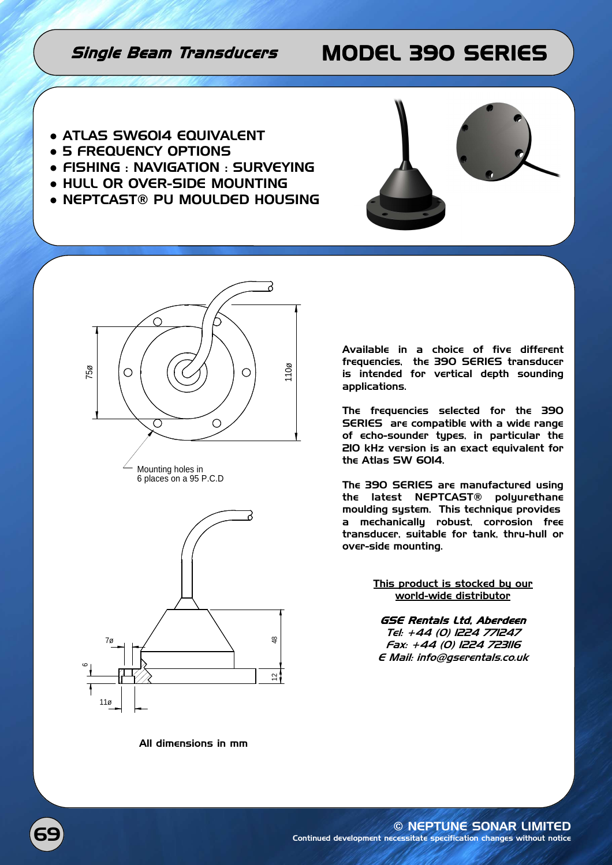## Single Beam Transducers MODEL 390 SERIES

- ATLAS SW60I4 EQUIVALENT
- 5 FREQUENCY OPTIONS
- FISHING : NAVIGATION : SURVEYING
- HULL OR OVER-SIDE MOUNTING
- NEPTCAST® PU MOULDED HOUSING







Mounting holes in 6 places on a 95 P.C.D

Available in a choice of five different frequencies, the 390 SERIES transducer is intended for vertical depth sounding applications.

The frequencies selected for the 390 SERIES are compatible with a wide range of echo-sounder types, in particular the 210 kHz version is an exact equivalent for the Atlas SW 6014.

The 390 SERIES are manufactured using the latest NEPTCAST® polyurethane moulding system. This technique provides a mechanically robust, corrosion free transducer, suitable for tank, thru-hull or over-side mounting.

> This product is stocked by our world-wide distributor

GSE Rentals Ltd, Aberdeen Tel: +44 (0) 1224 771247 Fax: +44 (0) 1224 723116 E Mail: info@gserentals.co.uk

All dimensions in mm